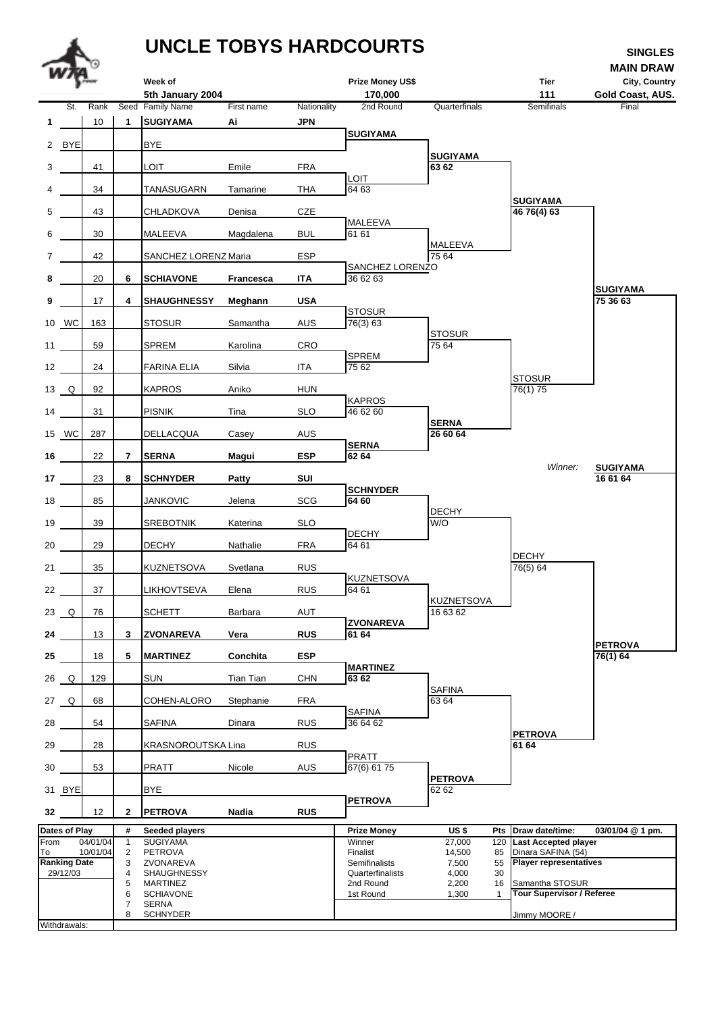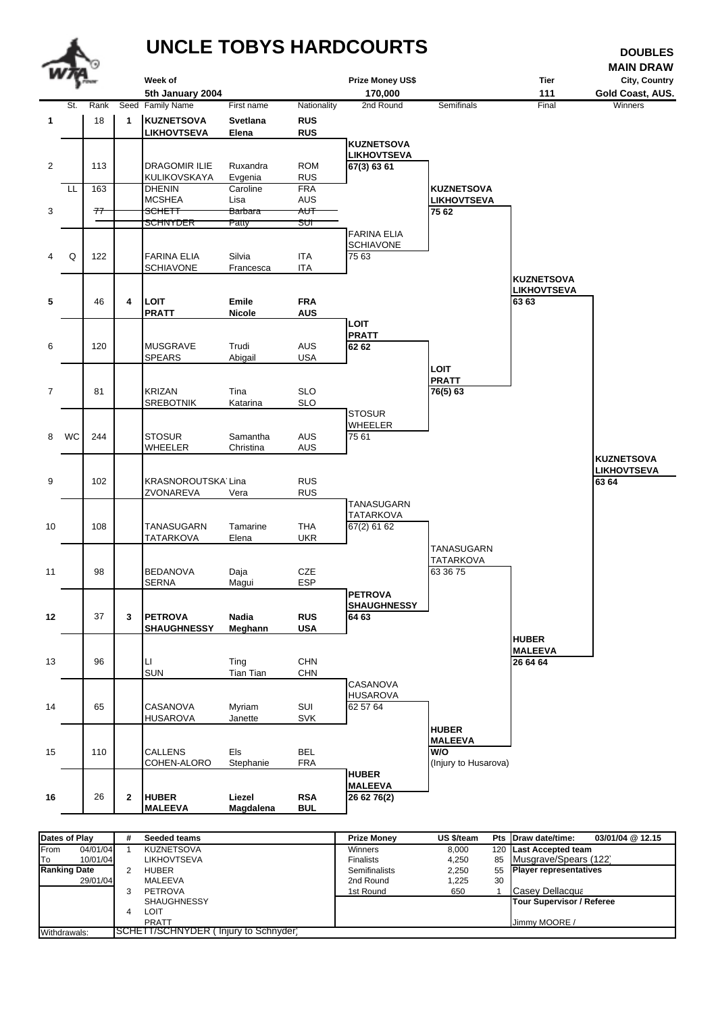

| Dates of Play          | # | Seeded teams                         | <b>Prize Monev</b>   | US \$/team |    | 03/01/04 @ 12.15<br>Pts Draw date/time: |
|------------------------|---|--------------------------------------|----------------------|------------|----|-----------------------------------------|
| From<br>04/01/04       |   | <b>KUZNETSOVA</b>                    | Winners              | 8,000      |    | 120 Last Accepted team                  |
| <b>ITo</b><br>10/01/04 |   | <b>LIKHOVTSEVA</b>                   | <b>Finalists</b>     | 4.250      |    | 85 Musgrave/Spears (122)                |
| <b>Ranking Date</b>    |   | <b>HUBER</b>                         | <b>Semifinalists</b> | 2,250      |    | 55 Player representatives               |
| 29/01/04               |   | MALEEVA                              | 2nd Round            | 1,225      | 30 |                                         |
|                        |   | <b>PETROVA</b>                       | 1st Round            | 650        |    | Casev Dellacqua                         |
|                        |   | <b>SHAUGHNESSY</b>                   |                      |            |    | <b>Tour Supervisor / Referee</b>        |
|                        | 4 | LOIT                                 |                      |            |    |                                         |
|                        |   | <b>PRATT</b>                         |                      |            |    | Jimmy MOORE                             |
| Withdrawals:           |   | SCHETT/SCHNYDER (Injury to Schnyder) |                      |            |    |                                         |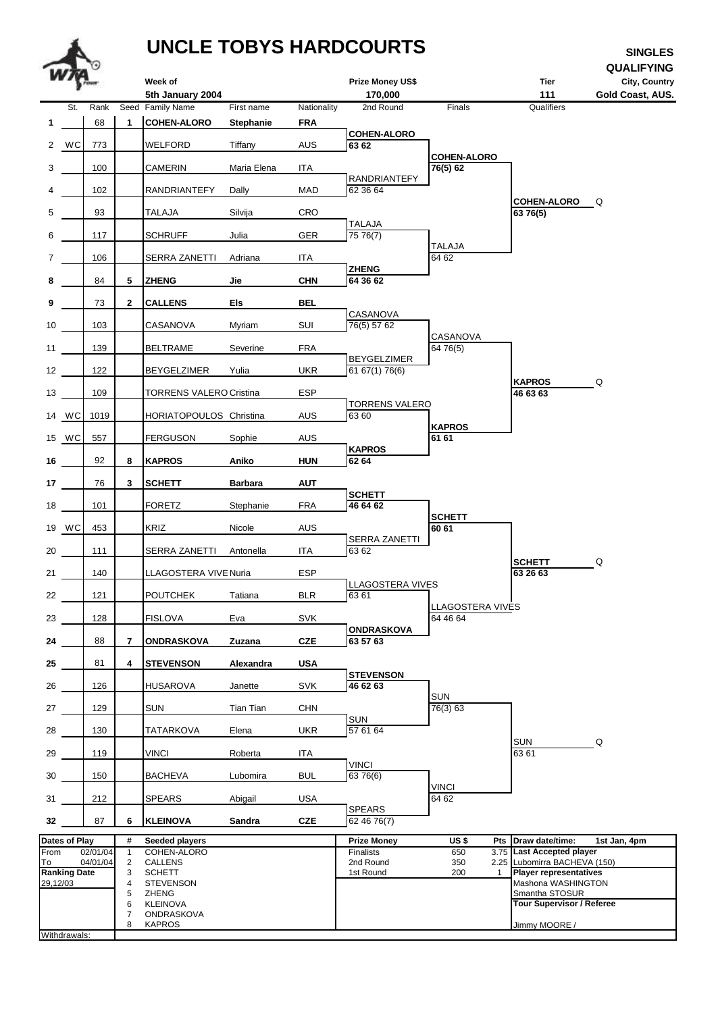## **UNCLE TOBYS HARDCOURTS SINGLES**



8 KAPROS Jimmy MOORE / *8*

**Withdrawals**